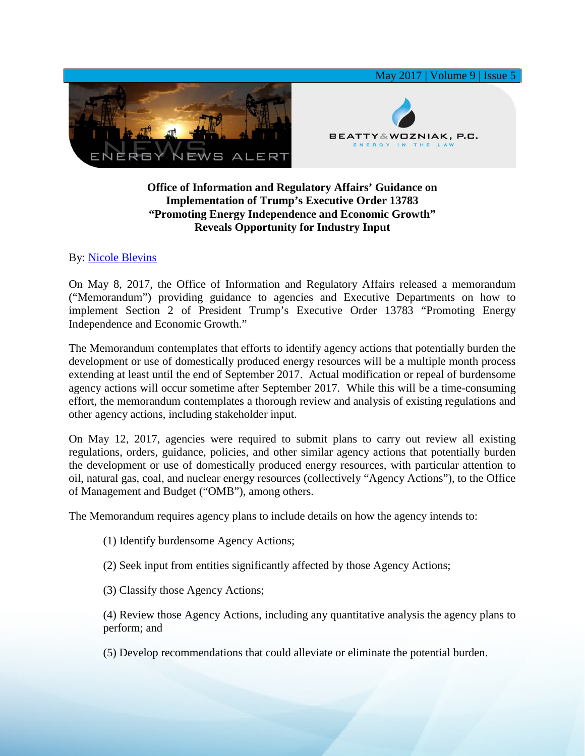

## **Office of Information and Regulatory Affairs' Guidance on Implementation of Trump's Executive Order 13783 "Promoting Energy Independence and Economic Growth" Reveals Opportunity for Industry Input**

## By: [Nicole Blevins](https://www.bwenergylaw.com/nicole-blevins)

On May 8, 2017, the Office of Information and Regulatory Affairs released a memorandum ("Memorandum") providing guidance to agencies and Executive Departments on how to implement Section 2 of President Trump's Executive Order 13783 "Promoting Energy Independence and Economic Growth."

The Memorandum contemplates that efforts to identify agency actions that potentially burden the development or use of domestically produced energy resources will be a multiple month process extending at least until the end of September 2017. Actual modification or repeal of burdensome agency actions will occur sometime after September 2017. While this will be a time-consuming effort, the memorandum contemplates a thorough review and analysis of existing regulations and other agency actions, including stakeholder input.

On May 12, 2017, agencies were required to submit plans to carry out review all existing regulations, orders, guidance, policies, and other similar agency actions that potentially burden the development or use of domestically produced energy resources, with particular attention to oil, natural gas, coal, and nuclear energy resources (collectively "Agency Actions"), to the Office of Management and Budget ("OMB"), among others.

The Memorandum requires agency plans to include details on how the agency intends to:

- (1) Identify burdensome Agency Actions;
- (2) Seek input from entities significantly affected by those Agency Actions;
- (3) Classify those Agency Actions;

(4) Review those Agency Actions, including any quantitative analysis the agency plans to perform; and

(5) Develop recommendations that could alleviate or eliminate the potential burden.